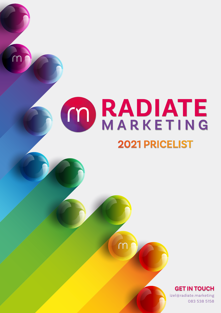## **RADIATE** m **MARKETING 2021 PRICELIST**

 $m$ 

m



izel@radiate.marketing 083 538 5158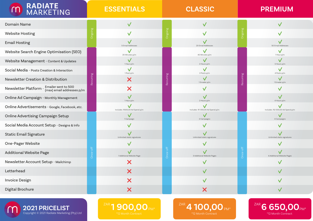| RADIATE<br>MARKETING                                                      |              | <b>ESSENTIALS</b>              | <b>CLASSIC</b> |                                  |           | <b>PREMIUM</b>                   |
|---------------------------------------------------------------------------|--------------|--------------------------------|----------------|----------------------------------|-----------|----------------------------------|
| Domain Name                                                               |              | $\checkmark$                   |                | $\checkmark$                     |           | $\checkmark$                     |
| <b>Website Hosting</b>                                                    | Ongoing      | $\checkmark$                   | Ongoing        |                                  | Ongoing   |                                  |
| <b>Email Hosting</b>                                                      |              | 5 Email Addresses              |                | 20 Email Addresses               |           | 50 Email Addresses               |
| Website Search Engine Optimisation (SEO)                                  |              | $\checkmark$<br>20 Minutes p/m |                | $\checkmark$<br>40 Minutes p/m   |           | V<br>1 Hour p/m                  |
| Website Management - Content & Updates                                    |              | $\checkmark$<br>1 Hour p/m     |                | $\checkmark$<br>2 Hours p/m      |           | $\checkmark$<br>3 Hours p/m      |
| Social Media - Posts Creation & Interaction                               |              | $\checkmark$<br>1 Post p/m     |                | $\checkmark$<br>2 Posts p/m      |           | $\checkmark$<br>4 Posts p/m      |
| <b>Newsletter Creation &amp; Distribution</b>                             | Recurring    | X                              | Recurring      | $\checkmark$<br>1 Emailer p/m    | Recurring | $\checkmark$<br>1 Emailer p/m    |
| Emailer sent to 500<br>Newsletter Platform -<br>(max) email addresses p/m |              | X                              |                |                                  |           | V                                |
| Online Ad Campaign - Monthly Management                                   |              | $\checkmark$<br>1 Hour p/m     |                | $\checkmark$<br>2 Hours p/m      |           | $\checkmark$<br>4 Hours p/m      |
| Online Advertisements - Google, Facebook, etc.                            |              | Includes: R500,00 Ad Spend p/m |                | Includes: R1 000,00 Ad Spend p/m |           | Includes: R2 000,00 Ad Spend p/m |
| <b>Online Advertising Campaign Setup</b>                                  |              | $\checkmark$<br>1 Campaign     |                | $\checkmark$<br>2 Campaigns      |           | $\checkmark$<br>4 Campaigns      |
| Social Media Account Setup - Designs & Info                               |              | $\checkmark$                   |                |                                  |           |                                  |
| <b>Static Email Signature</b>                                             |              | Unlimited static signatures    |                | Unlimited static signatures      |           | Unlimited static signatures      |
| One-Pager Website                                                         |              |                                |                |                                  |           |                                  |
| <b>Additional Website Page</b>                                            | off<br>Once- | 1 Additional Website Page      | Once-off       | 3 Additional Website Pages       | Once-off  | 6 Additional Website Pages       |
| Newsletter Account Setup - Mailchimp                                      |              | Х                              |                |                                  |           |                                  |
| Letterhead                                                                |              | $\boldsymbol{\mathsf{X}}$      |                | $\checkmark$                     |           | $\checkmark$                     |
| Invoice Design                                                            |              | $\boldsymbol{\mathsf{X}}$      |                | $\checkmark$                     |           | $\checkmark$                     |
| Digital Brochure                                                          |              | $\boldsymbol{\mathsf{X}}$      |                | $\boldsymbol{\mathsf{X}}$        |           | $\checkmark$                     |
| 2021 PRICELIST                                                            |              | ZAR 1 900,00 PM*               |                | ZAR 4 100,00 PM*                 |           | ZAR 6 650,00PM*                  |

Copyright © 2021 Radiate Marketing (Pty) Ltd \*12 Month Contract

. . .

\*12 Month Contract